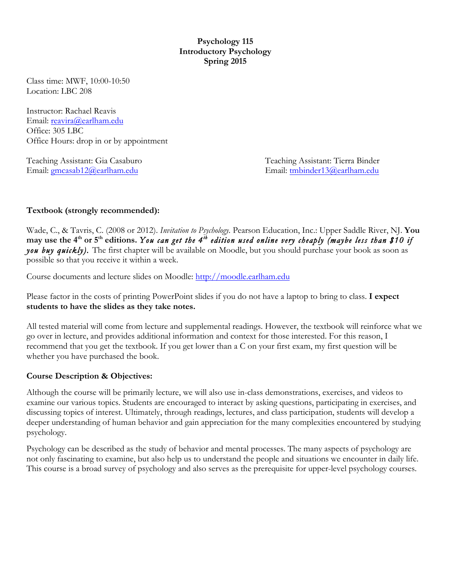### **Psychology 115 Introductory Psychology Spring 2015**

Class time: MWF, 10:00-10:50 Location: LBC 208

Instructor: Rachael Reavis Email: reavira@earlham.edu Office: 305 LBC Office Hours: drop in or by appointment

Teaching Assistant: Gia Casaburo Teaching Assistant: Tierra Binder Email: gmcasab12@earlham.edu Email: tmbinder13@earlham.edu

## **Textbook (strongly recommended):**

Wade, C., & Tavris, C. (2008 or 2012). *Invitation to Psychology.* Pearson Education, Inc.: Upper Saddle River, NJ. **You**  may use the 4<sup>th</sup> or 5<sup>th</sup> editions. You can get the 4<sup>th</sup> edition used online very cheaply (maybe less than \$10 if *you buy quickly).* The first chapter will be available on Moodle, but you should purchase your book as soon as possible so that you receive it within a week.

Course documents and lecture slides on Moodle: http://moodle.earlham.edu

Please factor in the costs of printing PowerPoint slides if you do not have a laptop to bring to class. **I expect students to have the slides as they take notes.** 

All tested material will come from lecture and supplemental readings. However, the textbook will reinforce what we go over in lecture, and provides additional information and context for those interested. For this reason, I recommend that you get the textbook. If you get lower than a C on your first exam, my first question will be whether you have purchased the book.

## **Course Description & Objectives:**

Although the course will be primarily lecture, we will also use in-class demonstrations, exercises, and videos to examine our various topics. Students are encouraged to interact by asking questions, participating in exercises, and discussing topics of interest. Ultimately, through readings, lectures, and class participation, students will develop a deeper understanding of human behavior and gain appreciation for the many complexities encountered by studying psychology.

Psychology can be described as the study of behavior and mental processes. The many aspects of psychology are not only fascinating to examine, but also help us to understand the people and situations we encounter in daily life. This course is a broad survey of psychology and also serves as the prerequisite for upper-level psychology courses.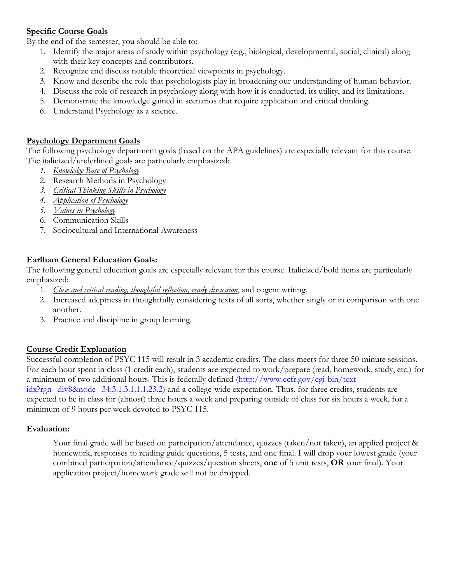## **Specific Course Goals**

By the end of the semester, you should be able to:

- 1. Identify the major areas of study within psychology (e.g., biological, developmental, social, clinical) along with their key concepts and contributors.
- 2. Recognize and discuss notable theoretical viewpoints in psychology.
- 3. Know and describe the role that psychologists play in broadening our understanding of human behavior.
- 4. Discuss the role of research in psychology along with how it is conducted, its utility, and its limitations.
- 5. Demonstrate the knowledge gained in scenarios that require application and critical thinking.
- 6. Understand Psychology as a science.

### **Psychology Department Goals**

The following psychology department goals (based on the APA guidelines) are especially relevant for this course. The italicized/underlined goals are particularly emphasized:

- *1. Knowledge Base of Psychology*
- 2. Research Methods in Psychology
- *3. Critical Thinking Skills in Psychology*
- *4. Application of Psychology*
- *5. Values in Psychology*
- 6. Communication Skills
- 7. Sociocultural and International Awareness

## **Earlham General Education Goals:**

The following general education goals are especially relevant for this course. Italicized/bold items are particularly emphasized:

- 1. *Close and critical reading, thoughtful reflection, ready discussion*, and cogent writing.
- 2. Increased adeptness in thoughtfully considering texts of all sorts, whether singly or in comparison with one another.
- 3. Practice and discipline in group learning.

## **Course Credit Explanation**

Successful completion of PSYC 115 will result in 3 academic credits. The class meets for three 50-minute sessions. For each hour spent in class (1 credit each), students are expected to work/prepare (read, homework, study, etc.) for a minimum of two additional hours. This is federally defined (http://www.ecfr.gov/cgi-bin/text-

idx?rgn=div8&node=34:3.1.3.1.1.1.23.2) and a college-wide expectation. Thus, for three credits, students are expected to be in class for (almost) three hours a week and preparing outside of class for six hours a week, for a minimum of 9 hours per week devoted to PSYC 115.

#### **Evaluation:**

Your final grade will be based on participation/attendance, quizzes (taken/not taken), an applied project & homework, responses to reading guide questions, 5 tests, and one final. I will drop your lowest grade (your combined participation/attendance/quizzes/question sheets, **one** of 5 unit tests, **OR** your final). Your application project/homework grade will not be dropped.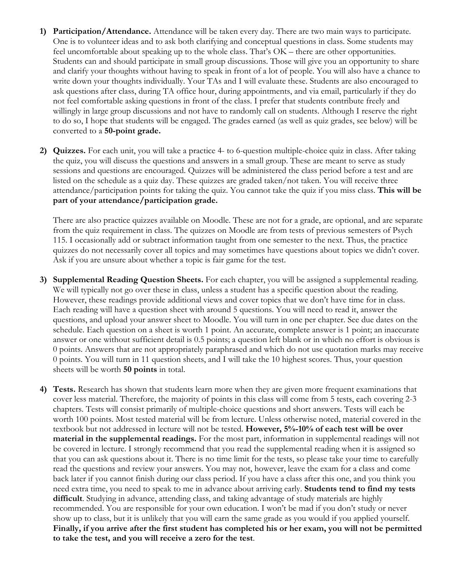- **1) Participation/Attendance.** Attendance will be taken every day. There are two main ways to participate. One is to volunteer ideas and to ask both clarifying and conceptual questions in class. Some students may feel uncomfortable about speaking up to the whole class. That's OK – there are other opportunities. Students can and should participate in small group discussions. Those will give you an opportunity to share and clarify your thoughts without having to speak in front of a lot of people. You will also have a chance to write down your thoughts individually. Your TAs and I will evaluate these. Students are also encouraged to ask questions after class, during TA office hour, during appointments, and via email, particularly if they do not feel comfortable asking questions in front of the class. I prefer that students contribute freely and willingly in large group discussions and not have to randomly call on students. Although I reserve the right to do so, I hope that students will be engaged. The grades earned (as well as quiz grades, see below) will be converted to a **50-point grade.**
- **2) Quizzes.** For each unit, you will take a practice 4- to 6-question multiple-choice quiz in class. After taking the quiz, you will discuss the questions and answers in a small group. These are meant to serve as study sessions and questions are encouraged. Quizzes will be administered the class period before a test and are listed on the schedule as a quiz day. These quizzes are graded taken/not taken. You will receive three attendance/participation points for taking the quiz. You cannot take the quiz if you miss class. **This will be part of your attendance/participation grade.**

There are also practice quizzes available on Moodle. These are not for a grade, are optional, and are separate from the quiz requirement in class. The quizzes on Moodle are from tests of previous semesters of Psych 115. I occasionally add or subtract information taught from one semester to the next. Thus, the practice quizzes do not necessarily cover all topics and may sometimes have questions about topics we didn't cover. Ask if you are unsure about whether a topic is fair game for the test.

- **3) Supplemental Reading Question Sheets.** For each chapter, you will be assigned a supplemental reading. We will typically not go over these in class, unless a student has a specific question about the reading. However, these readings provide additional views and cover topics that we don't have time for in class. Each reading will have a question sheet with around 5 questions. You will need to read it, answer the questions, and upload your answer sheet to Moodle. You will turn in one per chapter. See due dates on the schedule. Each question on a sheet is worth 1 point. An accurate, complete answer is 1 point; an inaccurate answer or one without sufficient detail is 0.5 points; a question left blank or in which no effort is obvious is 0 points. Answers that are not appropriately paraphrased and which do not use quotation marks may receive 0 points. You will turn in 11 question sheets, and I will take the 10 highest scores. Thus, your question sheets will be worth **50 points** in total.
- **4) Tests.** Research has shown that students learn more when they are given more frequent examinations that cover less material. Therefore, the majority of points in this class will come from 5 tests, each covering 2-3 chapters. Tests will consist primarily of multiple-choice questions and short answers. Tests will each be worth 100 points. Most tested material will be from lecture. Unless otherwise noted, material covered in the textbook but not addressed in lecture will not be tested. **However, 5%-10% of each test will be over material in the supplemental readings.** For the most part, information in supplemental readings will not be covered in lecture. I strongly recommend that you read the supplemental reading when it is assigned so that you can ask questions about it. There is no time limit for the tests, so please take your time to carefully read the questions and review your answers. You may not, however, leave the exam for a class and come back later if you cannot finish during our class period. If you have a class after this one, and you think you need extra time, you need to speak to me in advance about arriving early. **Students tend to find my tests difficult**. Studying in advance, attending class, and taking advantage of study materials are highly recommended. You are responsible for your own education. I won't be mad if you don't study or never show up to class, but it is unlikely that you will earn the same grade as you would if you applied yourself. **Finally, if you arrive after the first student has completed his or her exam, you will not be permitted to take the test, and you will receive a zero for the test**.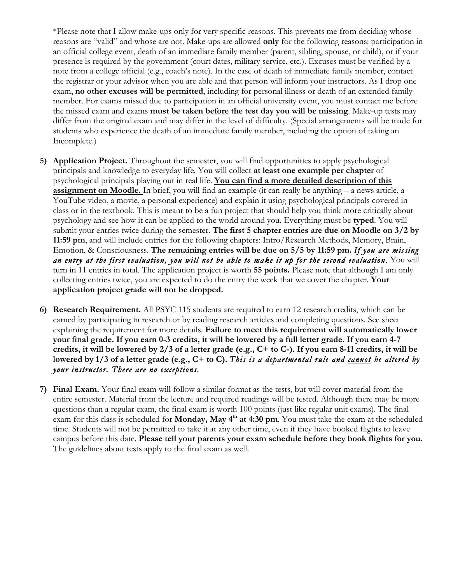\*Please note that I allow make-ups only for very specific reasons. This prevents me from deciding whose reasons are "valid" and whose are not. Make-ups are allowed **only** for the following reasons: participation in an official college event, death of an immediate family member (parent, sibling, spouse, or child), or if your presence is required by the government (court dates, military service, etc.). Excuses must be verified by a note from a college official (e.g., coach's note). In the case of death of immediate family member, contact the registrar or your advisor when you are able and that person will inform your instructors. As I drop one exam, **no other excuses will be permitted**, including for personal illness or death of an extended family member. For exams missed due to participation in an official university event, you must contact me before the missed exam and exams **must be taken before the test day you will be missing**. Make-up tests may differ from the original exam and may differ in the level of difficulty. (Special arrangements will be made for students who experience the death of an immediate family member, including the option of taking an Incomplete.)

- **5) Application Project.** Throughout the semester, you will find opportunities to apply psychological principals and knowledge to everyday life. You will collect **at least one example per chapter** of psychological principals playing out in real life. **You can find a more detailed description of this assignment on Moodle.** In brief, you will find an example (it can really be anything – a news article, a YouTube video, a movie, a personal experience) and explain it using psychological principals covered in class or in the textbook. This is meant to be a fun project that should help you think more critically about psychology and see how it can be applied to the world around you. Everything must be **typed**. You will submit your entries twice during the semester. **The first 5 chapter entries are due on Moodle on 3/2 by 11:59 pm**, and will include entries for the following chapters: Intro/Research Methods, Memory, Brain, Emotion, & Consciousness. **The remaining entries will be due on 5/5 by 11:59 pm.** *If you are missing an entry at the first evaluation, you will not be able to make it up for the second evaluation.* You will turn in 11 entries in total. The application project is worth **55 points.** Please note that although I am only collecting entries twice, you are expected to do the entry the week that we cover the chapter. **Your application project grade will not be dropped.**
- **6) Research Requirement.** All PSYC 115 students are required to earn 12 research credits, which can be earned by participating in research or by reading research articles and completing questions. See sheet explaining the requirement for more details. **Failure to meet this requirement will automatically lower your final grade. If you earn 0-3 credits, it will be lowered by a full letter grade. If you earn 4-7 credits, it will be lowered by 2/3 of a letter grade (e.g., C+ to C-). If you earn 8-11 credits, it will be lowered by 1/3 of a letter grade (e.g., C+ to C).** *This is a departmental rule and cannot be altered by your instructor. There are no exceptions.*
- **7) Final Exam.** Your final exam will follow a similar format as the tests, but will cover material from the entire semester. Material from the lecture and required readings will be tested. Although there may be more questions than a regular exam, the final exam is worth 100 points (just like regular unit exams). The final exam for this class is scheduled for **Monday, May 4th at 4:30 pm**. You must take the exam at the scheduled time. Students will not be permitted to take it at any other time, even if they have booked flights to leave campus before this date. **Please tell your parents your exam schedule before they book flights for you.**  The guidelines about tests apply to the final exam as well.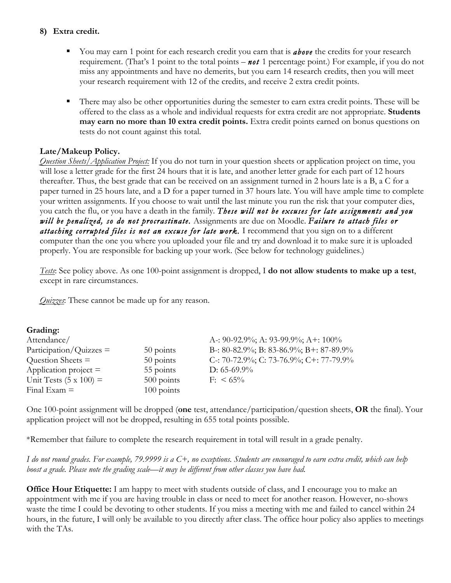### **8) Extra credit.**

- § You may earn 1 point for each research credit you earn that is *above* the credits for your research requirement. (That's 1 point to the total points – *not* 1 percentage point.) For example, if you do not miss any appointments and have no demerits, but you earn 14 research credits, then you will meet your research requirement with 12 of the credits, and receive 2 extra credit points.
- There may also be other opportunities during the semester to earn extra credit points. These will be offered to the class as a whole and individual requests for extra credit are not appropriate. **Students may earn no more than 10 extra credit points.** Extra credit points earned on bonus questions on tests do not count against this total.

## **Late/Makeup Policy.**

*Question Sheets/Application Project:* If you do not turn in your question sheets or application project on time, you will lose a letter grade for the first 24 hours that it is late, and another letter grade for each part of 12 hours thereafter. Thus, the best grade that can be received on an assignment turned in 2 hours late is a B, a C for a paper turned in 25 hours late, and a D for a paper turned in 37 hours late. You will have ample time to complete your written assignments. If you choose to wait until the last minute you run the risk that your computer dies, you catch the flu, or you have a death in the family. *These will not be excuses for late assignments and you will be penalized, so do not procrastinate.* Assignments are due on Moodle. *Failure to attach files or attaching corrupted files is not an excuse for late work.* I recommend that you sign on to a different computer than the one you where you uploaded your file and try and download it to make sure it is uploaded properly. You are responsible for backing up your work. (See below for technology guidelines.)

*Tests*: See policy above. As one 100-point assignment is dropped, I **do not allow students to make up a test**, except in rare circumstances.

*Quizzes*: These cannot be made up for any reason.

| Grading:                      |              |                                         |
|-------------------------------|--------------|-----------------------------------------|
| Attendance/                   |              | A-: 90-92.9%; A: 93-99.9%; A+: $100\%$  |
| $Participation/Quizzes =$     | 50 points    | B-: 80-82.9%; B: 83-86.9%; B+: 87-89.9% |
| Question Sheets $=$           | 50 points    | C-: 70-72.9%; C: 73-76.9%; C+: 77-79.9% |
| Application project $=$       | 55 points    | D: $65-69.9\%$                          |
| Unit Tests $(5 \times 100) =$ | $500$ points | $F: \ 65\%$                             |
| Final Exam $=$                | $100$ points |                                         |

One 100-point assignment will be dropped (**one** test, attendance/participation/question sheets, **OR** the final). Your application project will not be dropped, resulting in 655 total points possible.

\*Remember that failure to complete the research requirement in total will result in a grade penalty.

*I do not round grades. For example, 79.9999 is a C+, no exceptions. Students are encouraged to earn extra credit, which can help boost a grade. Please note the grading scale—it may be different from other classes you have had.* 

**Office Hour Etiquette:** I am happy to meet with students outside of class, and I encourage you to make an appointment with me if you are having trouble in class or need to meet for another reason. However, no-shows waste the time I could be devoting to other students. If you miss a meeting with me and failed to cancel within 24 hours, in the future, I will only be available to you directly after class. The office hour policy also applies to meetings with the TAs.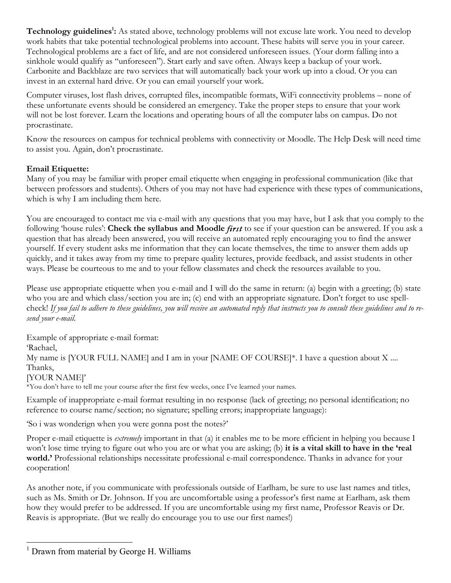Technology guidelines<sup>1</sup>: As stated above, technology problems will not excuse late work. You need to develop work habits that take potential technological problems into account. These habits will serve you in your career. Technological problems are a fact of life, and are not considered unforeseen issues. (Your dorm falling into a sinkhole would qualify as "unforeseen"). Start early and save often. Always keep a backup of your work. Carbonite and Backblaze are two services that will automatically back your work up into a cloud. Or you can invest in an external hard drive. Or you can email yourself your work.

Computer viruses, lost flash drives, corrupted files, incompatible formats, WiFi connectivity problems – none of these unfortunate events should be considered an emergency. Take the proper steps to ensure that your work will not be lost forever. Learn the locations and operating hours of all the computer labs on campus. Do not procrastinate.

Know the resources on campus for technical problems with connectivity or Moodle. The Help Desk will need time to assist you. Again, don't procrastinate.

## **Email Etiquette:**

Many of you may be familiar with proper email etiquette when engaging in professional communication (like that between professors and students). Others of you may not have had experience with these types of communications, which is why I am including them here.

You are encouraged to contact me via e-mail with any questions that you may have, but I ask that you comply to the following 'house rules': **Check the syllabus and Moodle** *first* to see if your question can be answered. If you ask a question that has already been answered, you will receive an automated reply encouraging you to find the answer yourself. If every student asks me information that they can locate themselves, the time to answer them adds up quickly, and it takes away from my time to prepare quality lectures, provide feedback, and assist students in other ways. Please be courteous to me and to your fellow classmates and check the resources available to you.

Please use appropriate etiquette when you e-mail and I will do the same in return: (a) begin with a greeting; (b) state who you are and which class/section you are in; (c) end with an appropriate signature. Don't forget to use spellcheck! *If you fail to adhere to these guidelines, you will receive an automated reply that instructs you to consult these guidelines and to resend your e-mail.*

Example of appropriate e-mail format: 'Rachael, My name is [YOUR FULL NAME] and I am in your [NAME OF COURSE]\*. I have a question about X .... Thanks, [YOUR NAME]'

\*You don't have to tell me your course after the first few weeks, once I've learned your names.

Example of inappropriate e-mail format resulting in no response (lack of greeting; no personal identification; no reference to course name/section; no signature; spelling errors; inappropriate language):

'So i was wonderign when you were gonna post the notes?'

Proper e-mail etiquette is *extremely* important in that (a) it enables me to be more efficient in helping you because I won't lose time trying to figure out who you are or what you are asking; (b) **it is a vital skill to have in the 'real**  world.' Professional relationships necessitate professional e-mail correspondence. Thanks in advance for your cooperation!

As another note, if you communicate with professionals outside of Earlham, be sure to use last names and titles, such as Ms. Smith or Dr. Johnson. If you are uncomfortable using a professor's first name at Earlham, ask them how they would prefer to be addressed. If you are uncomfortable using my first name, Professor Reavis or Dr. Reavis is appropriate. (But we really do encourage you to use our first names!)

 $<sup>1</sup>$  Drawn from material by George H. Williams</sup>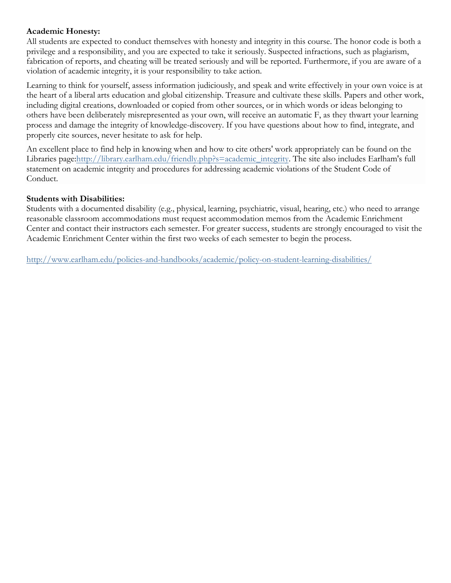### **Academic Honesty:**

All students are expected to conduct themselves with honesty and integrity in this course. The honor code is both a privilege and a responsibility, and you are expected to take it seriously. Suspected infractions, such as plagiarism, fabrication of reports, and cheating will be treated seriously and will be reported. Furthermore, if you are aware of a violation of academic integrity, it is your responsibility to take action.

Learning to think for yourself, assess information judiciously, and speak and write effectively in your own voice is at the heart of a liberal arts education and global citizenship. Treasure and cultivate these skills. Papers and other work, including digital creations, downloaded or copied from other sources, or in which words or ideas belonging to others have been deliberately misrepresented as your own, will receive an automatic F, as they thwart your learning process and damage the integrity of knowledge-discovery. If you have questions about how to find, integrate, and properly cite sources, never hesitate to ask for help.

An excellent place to find help in knowing when and how to cite others' work appropriately can be found on the Libraries page:http://library.earlham.edu/friendly.php?s=academic\_integrity. The site also includes Earlham's full statement on academic integrity and procedures for addressing academic violations of the Student Code of Conduct.

### **Students with Disabilities:**

Students with a documented disability (e.g., physical, learning, psychiatric, visual, hearing, etc.) who need to arrange reasonable classroom accommodations must request accommodation memos from the Academic Enrichment Center and contact their instructors each semester. For greater success, students are strongly encouraged to visit the Academic Enrichment Center within the first two weeks of each semester to begin the process.

http://www.earlham.edu/policies-and-handbooks/academic/policy-on-student-learning-disabilities/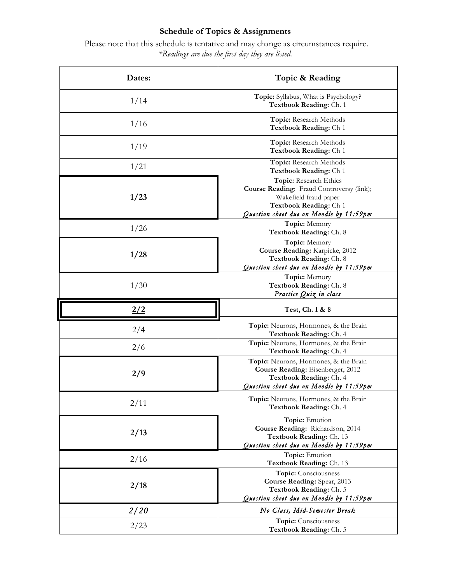# **Schedule of Topics & Assignments**

Please note that this schedule is tentative and may change as circumstances require. *\*Readings are due the first day they are listed.*

| Dates:      | Topic & Reading                                                                                                                                                   |
|-------------|-------------------------------------------------------------------------------------------------------------------------------------------------------------------|
| 1/14        | Topic: Syllabus, What is Psychology?<br>Textbook Reading: Ch. 1                                                                                                   |
| 1/16        | Topic: Research Methods<br>Textbook Reading: Ch 1                                                                                                                 |
| 1/19        | Topic: Research Methods<br>Textbook Reading: Ch 1                                                                                                                 |
| 1/21        | Topic: Research Methods<br>Textbook Reading: Ch 1                                                                                                                 |
| 1/23        | Topic: Research Ethics<br>Course Reading: Fraud Controversy (link);<br>Wakefield fraud paper<br>Textbook Reading: Ch 1<br>Question sheet due on Moodle by 11:59pm |
| 1/26        | Topic: Memory<br>Textbook Reading: Ch. 8                                                                                                                          |
| 1/28        | Topic: Memory<br>Course Reading: Karpicke, 2012<br>Textbook Reading: Ch. 8<br>Question sheet due on Moodle by 11:59pm                                             |
| 1/30        | Topic: Memory<br>Textbook Reading: Ch. 8<br>Practice Quiz in class                                                                                                |
| 2/2         | Test, Ch. 1 & 8                                                                                                                                                   |
| 2/4         | Topic: Neurons, Hormones, & the Brain<br>Textbook Reading: Ch. 4                                                                                                  |
| 2/6         | Topic: Neurons, Hormones, & the Brain<br>Textbook Reading: Ch. 4                                                                                                  |
| 2/9         | Topic: Neurons, Hormones, & the Brain<br>Course Reading: Eisenberger, 2012<br>Textbook Reading: Ch. 4<br>Question sheet due on Moodle by 11:59pm                  |
| 2/11        | Topic: Neurons, Hormones, & the Brain<br>Textbook Reading: Ch. 4                                                                                                  |
| 2/13        | Topic: Emotion<br>Course Reading: Richardson, 2014<br>Textbook Reading: Ch. 13<br>Question sheet due on Moodle by 11:59pm                                         |
| 2/16        | Topic: Emotion<br>Textbook Reading: Ch. 13                                                                                                                        |
| 2/18        | Topic: Consciousness<br>Course Reading: Spear, 2013<br>Textbook Reading: Ch. 5<br>Question sheet due on Moodle by 11:59pm                                         |
| <i>2/20</i> | No Class, Mid-Semester Break                                                                                                                                      |
| 2/23        | Topic: Consciousness<br>Textbook Reading: Ch. 5                                                                                                                   |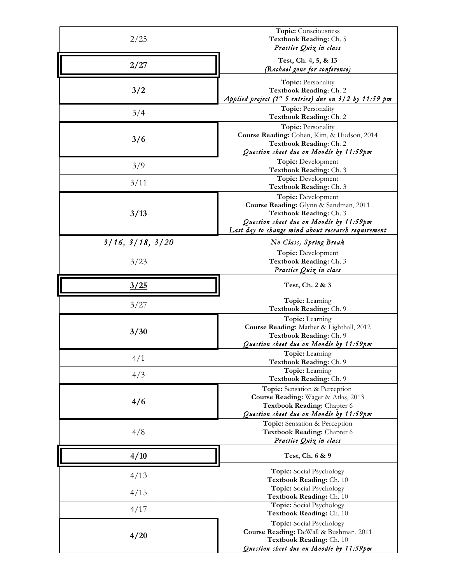| 2/25                     | Topic: Consciousness                                             |
|--------------------------|------------------------------------------------------------------|
|                          | Textbook Reading: Ch. 5                                          |
|                          | Practice Quiz in class                                           |
|                          | Test, Ch. 4, 5, & 13                                             |
| 2/27                     | (Rachael gone for conference)                                    |
|                          |                                                                  |
|                          | Topic: Personality                                               |
| 3/2                      | Textbook Reading: Ch. 2                                          |
|                          | Applied project $(1st 5 entries)$ due on $3/2$ by $11:59$ pm     |
|                          | Topic: Personality                                               |
| 3/4                      | Textbook Reading: Ch. 2                                          |
|                          | Topic: Personality                                               |
|                          | Course Reading: Cohen, Kim, & Hudson, 2014                       |
| 3/6                      | Textbook Reading: Ch. 2                                          |
|                          | Question sheet due on Moodle by 11:59pm                          |
|                          | Topic: Development                                               |
| 3/9                      | Textbook Reading: Ch. 3                                          |
|                          | Topic: Development                                               |
| 3/11                     | Textbook Reading: Ch. 3                                          |
|                          | Topic: Development                                               |
|                          |                                                                  |
| 3/13                     | Course Reading: Glynn & Sandman, 2011<br>Textbook Reading: Ch. 3 |
|                          | Question sheet due on Moodle by 11:59pm                          |
|                          | Last day to change mind about research requirement               |
|                          |                                                                  |
| $3/16$ , $3/18$ , $3/20$ | No Class, Spring Break                                           |
|                          | Topic: Development                                               |
| 3/23                     | Textbook Reading: Ch. 3                                          |
|                          | Practice Quiz in class                                           |
|                          |                                                                  |
| 3/25                     | Test, Ch. 2 & 3                                                  |
|                          | Topic: Learning                                                  |
| 3/27                     | Textbook Reading: Ch. 9                                          |
|                          |                                                                  |
|                          | Topic: Learning<br>Course Reading: Mather & Lighthall, 2012      |
| 3/30                     | Textbook Reading: Ch. 9                                          |
|                          | Question sheet due on Moodle by 11:59pm                          |
|                          |                                                                  |
| 4/1                      | <b>Topic:</b> Learning                                           |
|                          | Textbook Reading: Ch. 9                                          |
| 4/3                      | Topic: Learning<br>Textbook Reading: Ch. 9                       |
|                          |                                                                  |
|                          | Topic: Sensation & Perception                                    |
| 4/6                      | Course Reading: Wager & Atlas, 2013                              |
|                          | Textbook Reading: Chapter 6                                      |
|                          | Question sheet due on Moodle by 11:59pm                          |
|                          | Topic: Sensation & Perception                                    |
| 4/8                      | Textbook Reading: Chapter 6                                      |
|                          | Practice Quiz in class                                           |
| 4/10                     | Test, Ch. 6 & 9                                                  |
|                          |                                                                  |
|                          | <b>Topic:</b> Social Psychology                                  |
| 4/13                     | Textbook Reading: Ch. 10                                         |
|                          | Topic: Social Psychology                                         |
| 4/15                     | Textbook Reading: Ch. 10                                         |
|                          | Topic: Social Psychology                                         |
| 4/17                     | Textbook Reading: Ch. 10                                         |
| 4/20                     | Topic: Social Psychology                                         |
|                          | Course Reading: DeWall & Bushman, 2011                           |
|                          | Textbook Reading: Ch. 10                                         |
|                          |                                                                  |
|                          | Question sheet due on Moodle by 11:59pm                          |